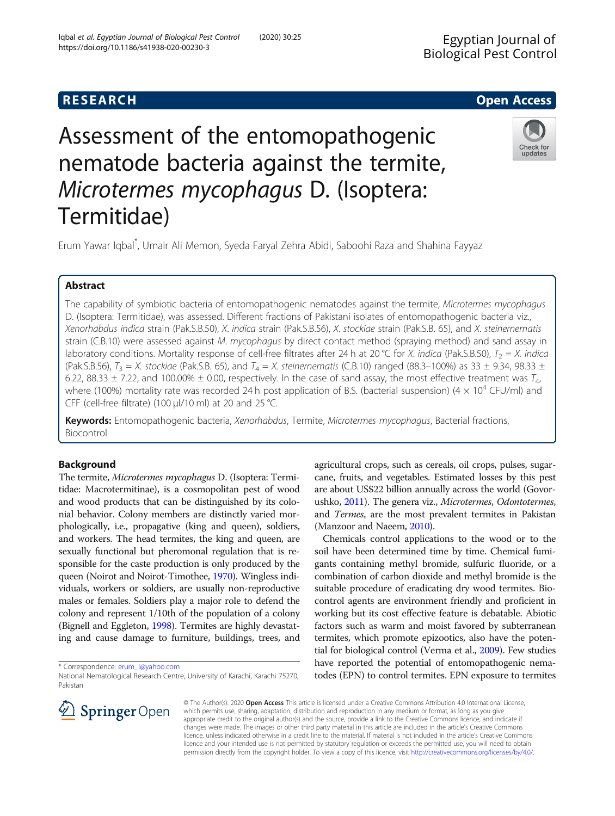# Assessment of the entomopathogenic nematode bacteria against the termite, Microtermes mycophagus D. (Isoptera: Termitidae)



Erum Yawar Iqbal\* , Umair Ali Memon, Syeda Faryal Zehra Abidi, Saboohi Raza and Shahina Fayyaz

# Abstract

The capability of symbiotic bacteria of entomopathogenic nematodes against the termite, Microtermes mycophagus D. (Isoptera: Termitidae), was assessed. Different fractions of Pakistani isolates of entomopathogenic bacteria viz., Xenorhabdus indica strain (Pak.S.B.50), X. indica strain (Pak.S.B.56), X. stockiae strain (Pak.S.B. 65), and X. steinernematis strain (C.B.10) were assessed against M. mycophagus by direct contact method (spraying method) and sand assay in laboratory conditions. Mortality response of cell-free filtrates after 24 h at 20 °C for X. indica (Pak.S.B.50),  $T_2 = X$ . indica (Pak.S.B.56),  $T_3 = X$ . stockiae (Pak.S.B. 65), and  $T_4 = X$ . steinernematis (C.B.10) ranged (88.3–100%) as 33  $\pm$  9.34, 98.33  $\pm$ 6.22, 88.33  $\pm$  7.22, and 100.00%  $\pm$  0.00, respectively. In the case of sand assay, the most effective treatment was  $T_{4}$ , where (100%) mortality rate was recorded 24 h post application of B.S. (bacterial suspension) (4  $\times$  10<sup>4</sup> CFU/ml) and CFF (cell-free filtrate) (100 μl/10 ml) at 20 and 25 °C.

Keywords: Entomopathogenic bacteria, Xenorhabdus, Termite, Microtermes mycophagus, Bacterial fractions, Biocontrol

# Background

The termite, Microtermes mycophagus D. (Isoptera: Termitidae: Macrotermitinae), is a cosmopolitan pest of wood and wood products that can be distinguished by its colonial behavior. Colony members are distinctly varied morphologically, i.e., propagative (king and queen), soldiers, and workers. The head termites, the king and queen, are sexually functional but pheromonal regulation that is responsible for the caste production is only produced by the queen (Noirot and Noirot-Timothee, [1970](#page-5-0)). Wingless individuals, workers or soldiers, are usually non-reproductive males or females. Soldiers play a major role to defend the colony and represent 1/10th of the population of a colony (Bignell and Eggleton, [1998](#page-4-0)). Termites are highly devastating and cause damage to furniture, buildings, trees, and

\* Correspondence: [erum\\_i@yahoo.com](mailto:erum_i@yahoo.com)

agricultural crops, such as cereals, oil crops, pulses, sugarcane, fruits, and vegetables. Estimated losses by this pest are about US\$22 billion annually across the world (Govorushko, [2011\)](#page-5-0). The genera viz., Microtermes, Odontotermes, and Termes, are the most prevalent termites in Pakistan (Manzoor and Naeem, [2010](#page-5-0)).

Chemicals control applications to the wood or to the soil have been determined time by time. Chemical fumigants containing methyl bromide, sulfuric fluoride, or a combination of carbon dioxide and methyl bromide is the suitable procedure of eradicating dry wood termites. Biocontrol agents are environment friendly and proficient in working but its cost effective feature is debatable. Abiotic factors such as warm and moist favored by subterranean termites, which promote epizootics, also have the potential for biological control (Verma et al., [2009\)](#page-5-0). Few studies have reported the potential of entomopathogenic nematodes (EPN) to control termites. EPN exposure to termites



© The Author(s). 2020 Open Access This article is licensed under a Creative Commons Attribution 4.0 International License, which permits use, sharing, adaptation, distribution and reproduction in any medium or format, as long as you give appropriate credit to the original author(s) and the source, provide a link to the Creative Commons licence, and indicate if changes were made. The images or other third party material in this article are included in the article's Creative Commons licence, unless indicated otherwise in a credit line to the material. If material is not included in the article's Creative Commons licence and your intended use is not permitted by statutory regulation or exceeds the permitted use, you will need to obtain permission directly from the copyright holder. To view a copy of this licence, visit <http://creativecommons.org/licenses/by/4.0/>.

National Nematological Research Centre, University of Karachi, Karachi 75270, Pakistan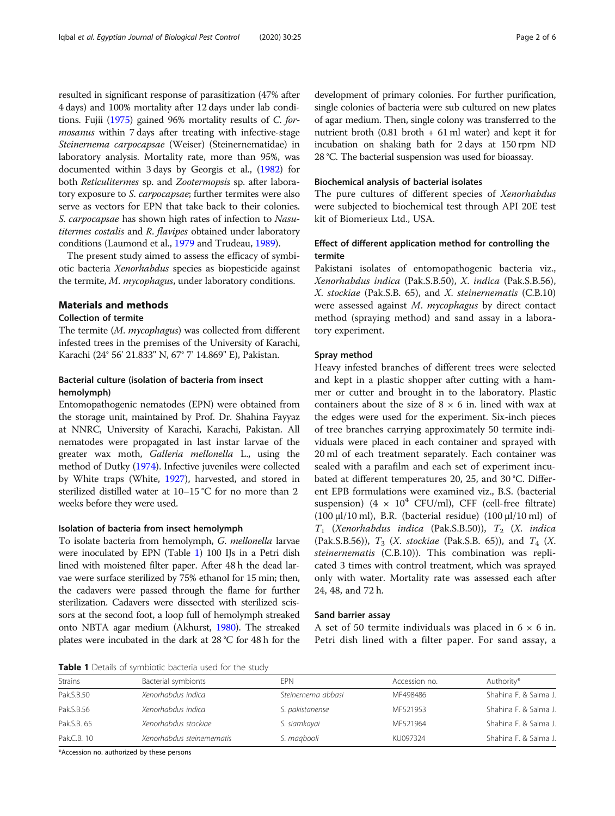resulted in significant response of parasitization (47% after 4 days) and 100% mortality after 12 days under lab conditions. Fujii ([1975\)](#page-4-0) gained 96% mortality results of C. formosanus within 7 days after treating with infective-stage Steinernema carpocapsae (Weiser) (Steinernematidae) in laboratory analysis. Mortality rate, more than 95%, was documented within 3 days by Georgis et al., ([1982](#page-4-0)) for both Reticulitermes sp. and Zootermopsis sp. after laboratory exposure to S. carpocapsae; further termites were also serve as vectors for EPN that take back to their colonies. S. carpocapsae has shown high rates of infection to Nasutitermes costalis and R. flavipes obtained under laboratory conditions (Laumond et al., [1979](#page-5-0) and Trudeau, [1989\)](#page-5-0).

The present study aimed to assess the efficacy of symbiotic bacteria Xenorhabdus species as biopesticide against the termite, M. mycophagus, under laboratory conditions.

#### Materials and methods

#### Collection of termite

The termite (M. mycophagus) was collected from different infested trees in the premises of the University of Karachi, Karachi (24° 56' 21.833" N, 67° 7' 14.869" E), Pakistan.

# Bacterial culture (isolation of bacteria from insect hemolymph)

Entomopathogenic nematodes (EPN) were obtained from the storage unit, maintained by Prof. Dr. Shahina Fayyaz at NNRC, University of Karachi, Karachi, Pakistan. All nematodes were propagated in last instar larvae of the greater wax moth, Galleria mellonella L., using the method of Dutky ([1974\)](#page-4-0). Infective juveniles were collected by White traps (White, [1927\)](#page-5-0), harvested, and stored in sterilized distilled water at 10–15 °C for no more than 2 weeks before they were used.

# Isolation of bacteria from insect hemolymph

To isolate bacteria from hemolymph, G. mellonella larvae were inoculated by EPN (Table 1) 100 IJs in a Petri dish lined with moistened filter paper. After 48 h the dead larvae were surface sterilized by 75% ethanol for 15 min; then, the cadavers were passed through the flame for further sterilization. Cadavers were dissected with sterilized scissors at the second foot, a loop full of hemolymph streaked onto NBTA agar medium (Akhurst, [1980](#page-4-0)). The streaked plates were incubated in the dark at 28 °C for 48 h for the development of primary colonies. For further purification, single colonies of bacteria were sub cultured on new plates of agar medium. Then, single colony was transferred to the nutrient broth  $(0.81 \text{ broth} + 61 \text{ ml} \text{ water})$  and kept it for incubation on shaking bath for 2 days at 150 rpm ND 28 °C. The bacterial suspension was used for bioassay.

### Biochemical analysis of bacterial isolates

The pure cultures of different species of Xenorhabdus were subjected to biochemical test through API 20E test kit of Biomerieux Ltd., USA.

# Effect of different application method for controlling the termite

Pakistani isolates of entomopathogenic bacteria viz., Xenorhabdus indica (Pak.S.B.50), X. indica (Pak.S.B.56), X. stockiae (Pak.S.B. 65), and X. steinernematis (C.B.10) were assessed against M. mycophagus by direct contact method (spraying method) and sand assay in a laboratory experiment.

#### Spray method

Heavy infested branches of different trees were selected and kept in a plastic shopper after cutting with a hammer or cutter and brought in to the laboratory. Plastic containers about the size of  $8 \times 6$  in. lined with wax at the edges were used for the experiment. Six-inch pieces of tree branches carrying approximately 50 termite individuals were placed in each container and sprayed with 20 ml of each treatment separately. Each container was sealed with a parafilm and each set of experiment incubated at different temperatures 20, 25, and 30 °C. Different EPB formulations were examined viz., B.S. (bacterial suspension) (4  $\times$  10<sup>4</sup> CFU/ml), CFF (cell-free filtrate) (100 μl/10 ml), B.R. (bacterial residue) (100 μl/10 ml) of  $T_1$  (Xenorhabdus indica (Pak.S.B.50)),  $T_2$  (X. indica (Pak.S.B.56)),  $T_3$  (*X. stockiae* (Pak.S.B. 65)), and  $T_4$  (*X.* steinernematis (C.B.10)). This combination was replicated 3 times with control treatment, which was sprayed only with water. Mortality rate was assessed each after 24, 48, and 72 h.

#### Sand barrier assay

A set of 50 termite individuals was placed in  $6 \times 6$  in. Petri dish lined with a filter paper. For sand assay, a

Table 1 Details of symbiotic bacteria used for the study

| <b>Strains</b> | Bacterial symbionts        | <b>FPN</b>         | Accession no. | Authority*            |
|----------------|----------------------------|--------------------|---------------|-----------------------|
| Pak.S.B.50     | Xenorhabdus indica         | Steinernema abbasi | MF498486      | Shahina F. & Salma J. |
| Pak.S.B.56     | Xenorhabdus indica         | S. pakistanense    | MF521953      | Shahina F. & Salma J. |
| Pak.S.B. 65    | Xenorhabdus stockiae       | S. siamkayai       | MF521964      | Shahina F. & Salma J. |
| Pak.C.B. 10    | Xenorhabdus steinernematis | S. magbooli        | KU097324      | Shahina F. & Salma J. |

\*Accession no. authorized by these persons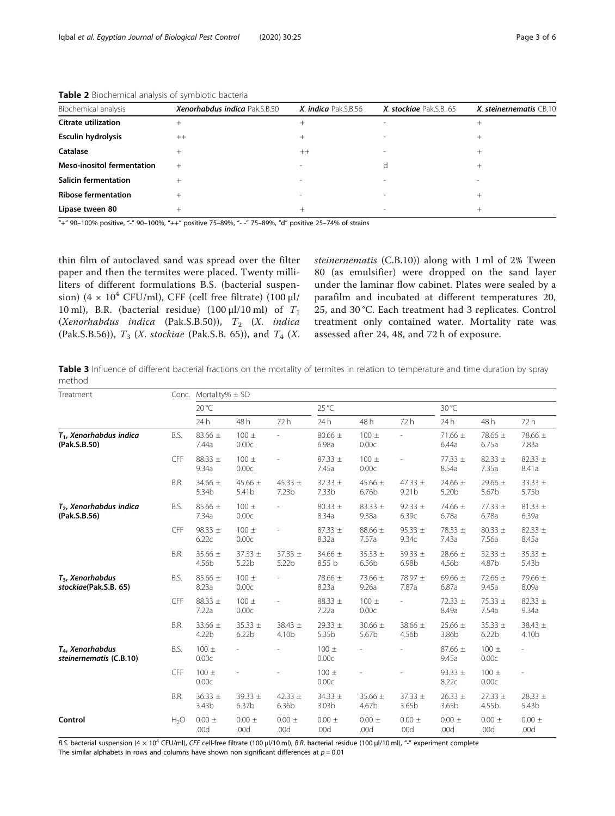| Biochemical analysis              | <b>Xenorhabdus indica Pak.S.B.50</b> | X. indica Pak.S.B.56     | X. stockiae Pak.S.B. 65 | $X.$ steinernematis $CB.10$ |  |  |
|-----------------------------------|--------------------------------------|--------------------------|-------------------------|-----------------------------|--|--|
| <b>Citrate utilization</b>        | $^{+}$                               | $^+$                     |                         |                             |  |  |
| Esculin hydrolysis                | $^{++}$                              | $^+$                     |                         |                             |  |  |
| Catalase                          |                                      | $^{++}$                  |                         |                             |  |  |
| <b>Meso-inositol fermentation</b> | $^+$                                 | $\overline{\phantom{a}}$ |                         |                             |  |  |
| <b>Salicin fermentation</b>       | $^+$                                 | $\overline{\phantom{a}}$ |                         |                             |  |  |
| <b>Ribose fermentation</b>        |                                      | $\overline{\phantom{a}}$ |                         |                             |  |  |
| Lipase tween 80                   |                                      | $^+$                     | $\sim$                  |                             |  |  |

<span id="page-2-0"></span>Table 2 Biochemical analysis of symbiotic bacteria

"+" 90–100% positive, "-" 90–100%, "++" positive 75–89%, "- -" 75–89%, "d" positive 25–74% of strains

thin film of autoclaved sand was spread over the filter paper and then the termites were placed. Twenty milliliters of different formulations B.S. (bacterial suspension) (4  $\times$  10<sup>4</sup> CFU/ml), CFF (cell free filtrate) (100 μl/ 10 ml), B.R. (bacterial residue) (100  $\mu$ l/10 ml) of  $T_1$ (Xenorhabdus indica (Pak.S.B.50)),  $T_2$  (X. indica (Pak.S.B.56)),  $T_3$  (*X. stockiae* (Pak.S.B. 65)), and  $T_4$  (*X.*  steinernematis (C.B.10)) along with 1 ml of 2% Tween 80 (as emulsifier) were dropped on the sand layer under the laminar flow cabinet. Plates were sealed by a parafilm and incubated at different temperatures 20, 25, and 30 °C. Each treatment had 3 replicates. Control treatment only contained water. Mortality rate was assessed after 24, 48, and 72 h of exposure.

Table 3 Influence of different bacterial fractions on the mortality of termites in relation to temperature and time duration by spray method

| Treatment                                        | Conc.            | Mortality% $\pm$ SD  |                                  |                      |                       |                      |                      |                                  |                                  |                      |
|--------------------------------------------------|------------------|----------------------|----------------------------------|----------------------|-----------------------|----------------------|----------------------|----------------------------------|----------------------------------|----------------------|
|                                                  |                  | 20 °C                |                                  | 25 °C                |                       |                      | 30 °C                |                                  |                                  |                      |
|                                                  |                  | 24h                  | 48h                              | 72h                  | 24h                   | 48 h                 | 72h                  | 24 h                             | 48h                              | 72 h                 |
| $T_1$ , Xenorhabdus indica<br>(Pak.S.B.50)       | B.S.             | 83.66 ±<br>7.44a     | $100 \pm$<br>0.00c               |                      | 80.66 $\pm$<br>6.98a  | $100 \pm$<br>0.00c   |                      | $71.66 \pm$<br>6.44a             | 78.66 ±<br>6.75a                 | 78.66 ±<br>7.83a     |
|                                                  | <b>CFF</b>       | 88.33 $\pm$<br>9.34a | $100 \pm$<br>0.00c               |                      | 87.33 $\pm$<br>7.45a  | $100 \pm$<br>0.00c   |                      | 77.33 ±<br>8.54a                 | 82.33 $\pm$<br>7.35a             | 82.33 $\pm$<br>8.41a |
|                                                  | B.R.             | $34.66 \pm$<br>5.34b | 45.66 $\pm$<br>5.41b             | 45.33 $\pm$<br>7.23b | $32.33 \pm$<br>7.33b  | 45.66 $\pm$<br>6.76b | 47.33 $\pm$<br>9.21b | 24.66 $\pm$<br>5.20 <sub>b</sub> | 29.66 $\pm$<br>5.67b             | $33.33 \pm$<br>5.75b |
| $T2$ , Xenorhabdus indica<br>(Pak.S.B.56)        | B.S.             | 85.66 ±<br>7.34a     | $100 \pm$<br>0.00c               |                      | 80.33 $\pm$<br>8.34a  | 83.33 $\pm$<br>9.38a | 92.33 $\pm$<br>6.39c | 74.66 $\pm$<br>6.78a             | 77.33 ±<br>6.78a                 | $81.33 \pm$<br>6.39a |
|                                                  | CFF              | 98.33 $\pm$<br>6.22c | $100 \pm$<br>0.00c               |                      | 87.33 $\pm$<br>8.32a  | 88.66 ±<br>7.57a     | $95.33 \pm$<br>9.34c | 78.33 ±<br>7.43a                 | 80.33 $\pm$<br>7.56a             | 82.33 $\pm$<br>8.45a |
|                                                  | B.R.             | $35.66 \pm$<br>4.56b | 37.33 $\pm$<br>5.22b             | $37.33 \pm$<br>5.22b | 34.66 $\pm$<br>8.55 b | $35.33 \pm$<br>6.56b | 39.33 $\pm$<br>6.98b | 28.66 $\pm$<br>4.56b             | $32.33 \pm$<br>4.87b             | $35.33 \pm$<br>5.43b |
| $T_3$ , Xenorhabdus<br>stockiae(Pak.S.B. 65)     | B.S.             | 85.66 ±<br>8.23a     | $100 \pm$<br>0.00c               |                      | 78.66 ±<br>8.23a      | 73.66 ±<br>9.26a     | 78.97 ±<br>7.87a     | 69.66 $\pm$<br>6.87a             | 72.66 ±<br>9.45a                 | 79.66 ±<br>8.09a     |
|                                                  | CFF              | $88.33 \pm$<br>7.22a | $100 \pm$<br>0.00c               |                      | $88.33 \pm$<br>7.22a  | $100 \pm$<br>0.00c   |                      | 72.33 $\pm$<br>8.49a             | 75.33 $\pm$<br>7.54a             | $82.33 \pm$<br>9.34a |
|                                                  | B.R.             | 33.66 ±<br>4.22b     | 35.33 $\pm$<br>6.22 <sub>b</sub> | $38.43 \pm$<br>4.10b | 29.33 $\pm$<br>5.35b  | $30.66 \pm$<br>5.67b | 38.66 ±<br>4.56b     | $25.66 \pm$<br>3.86b             | $35.33 \pm$<br>6.22 <sub>b</sub> | $38.43 \pm$<br>4.10b |
| $T_{4}$ , Xenorhabdus<br>steinernematis (C.B.10) | B.S.             | $100 \pm$<br>0.00c   |                                  |                      | $100 \pm$<br>0.00c    |                      |                      | 87.66 $\pm$<br>9.45a             | $100 \pm$<br>0.00c               |                      |
|                                                  | <b>CFF</b>       | $100 \pm$<br>0.00c   |                                  |                      | $100 \pm$<br>0.00c    |                      |                      | 93.33 $\pm$<br>8.22c             | $100 \pm$<br>0.00c               |                      |
|                                                  | B.R.             | $36.33 \pm$<br>3.43b | 39.33 $\pm$<br>6.37b             | 42.33 $\pm$<br>6.36b | $34.33 \pm$<br>3.03b  | $35.66 \pm$<br>4.67b | $37.33 \pm$<br>3.65b | $26.33 \pm$<br>3.65b             | $27.33 \pm$<br>4.55b             | $28.33 \pm$<br>5.43b |
| Control                                          | H <sub>2</sub> O | $0.00 \pm$<br>.00d   | $0.00 \pm$<br>.00d               | $0.00 \pm$<br>.00d   | $0.00 \pm$<br>.00d    | $0.00 \pm$<br>.00d   | $0.00 \pm$<br>.00d   | $0.00 \pm$<br>.00d               | $0.00 \pm$<br>.00d               | $0.00 \pm$<br>.00d   |

B.S. bacterial suspension (4 × 10<sup>4</sup> CFU/ml), CFF cell-free filtrate (100 μl/10 ml), B.R. bacterial residue (100 μl/10 ml), "-" experiment complete

The similar alphabets in rows and columns have shown non significant differences at  $p = 0.01$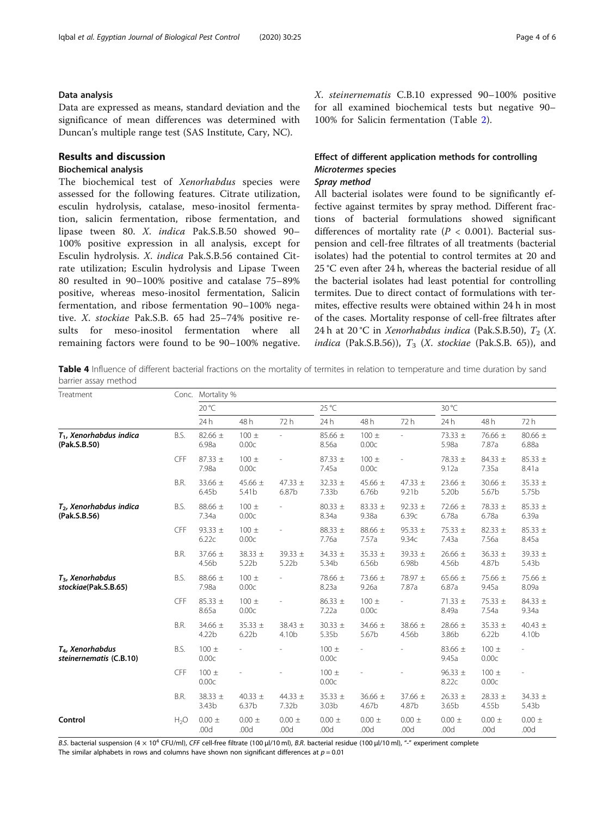# <span id="page-3-0"></span>Data analysis

Data are expressed as means, standard deviation and the significance of mean differences was determined with Duncan's multiple range test (SAS Institute, Cary, NC).

# Results and discussion

# Biochemical analysis

The biochemical test of Xenorhabdus species were assessed for the following features. Citrate utilization, esculin hydrolysis, catalase, meso-inositol fermentation, salicin fermentation, ribose fermentation, and lipase tween 80. X. indica Pak.S.B.50 showed 90– 100% positive expression in all analysis, except for Esculin hydrolysis. X. indica Pak.S.B.56 contained Citrate utilization; Esculin hydrolysis and Lipase Tween 80 resulted in 90–100% positive and catalase 75–89% positive, whereas meso-inositol fermentation, Salicin fermentation, and ribose fermentation 90–100% negative. X. stockiae Pak.S.B. 65 had 25–74% positive results for meso-inositol fermentation where all remaining factors were found to be 90–100% negative. X. steinernematis C.B.10 expressed 90–100% positive for all examined biochemical tests but negative 90– 100% for Salicin fermentation (Table [2](#page-2-0)).

# Effect of different application methods for controlling Microtermes species

# Spray method

All bacterial isolates were found to be significantly effective against termites by spray method. Different fractions of bacterial formulations showed significant differences of mortality rate ( $P < 0.001$ ). Bacterial suspension and cell-free filtrates of all treatments (bacterial isolates) had the potential to control termites at 20 and 25 °C even after 24 h, whereas the bacterial residue of all the bacterial isolates had least potential for controlling termites. Due to direct contact of formulations with termites, effective results were obtained within 24 h in most of the cases. Mortality response of cell-free filtrates after 24 h at 20 °C in *Xenorhabdus indica* (Pak.S.B.50),  $T_2$  (X. indica (Pak.S.B.56)),  $T_3$  (X. stockiae (Pak.S.B. 65)), and

Table 4 Influence of different bacterial fractions on the mortality of termites in relation to temperature and time duration by sand barrier assay method

| Treatment                                        | Conc.      | Mortality %          |                                  |                      |                                  |                                  |                      |                      |                                  |                                  |
|--------------------------------------------------|------------|----------------------|----------------------------------|----------------------|----------------------------------|----------------------------------|----------------------|----------------------|----------------------------------|----------------------------------|
|                                                  |            | 20 °C                |                                  | 25 °C                |                                  |                                  | 30 °C                |                      |                                  |                                  |
|                                                  |            | 24h                  | 48 h                             | 72h                  | 24h                              | 48h                              | 72 h                 | 24 h                 | 48 h                             | 72 h                             |
| $T_1$ , Xenorhabdus indica<br>(Pak.S.B.50)       | B.S.       | 82.66 $\pm$<br>6.98a | $100 \pm$<br>0.00c               |                      | 85.66 ±<br>8.56a                 | $100 \pm$<br>0.00c               |                      | 73.33 ±<br>5.98a     | 76.66 ±<br>7.87a                 | 80.66 $\pm$<br>6.88a             |
|                                                  | CFF        | $87.33 \pm$<br>7.98a | $100 \pm$<br>0.00c               |                      | $87.33 \pm$<br>7.45a             | $100 \pm$<br>0.00c               |                      | 78.33 ±<br>9.12a     | 84.33 $\pm$<br>7.35a             | $85.33 \pm$<br>8.41a             |
|                                                  | B.R.       | $33.66 \pm$<br>6.45b | 45.66 $\pm$<br>5.41b             | 47.33 $\pm$<br>6.87b | $32.33 \pm$<br>7.33b             | 45.66 $\pm$<br>6.76b             | 47.33 $\pm$<br>9.21b | 23.66 $\pm$<br>5.20b | $30.66 \pm$<br>5.67b             | $35.33 \pm$<br>5.75b             |
| $T2$ , Xenorhabdus indica<br>(Pak.S.B.56)        | B.S.       | 88.66 $\pm$<br>7.34a | $100 \pm$<br>0.00c               |                      | 80.33 $\pm$<br>8.34a             | $83.33 \pm$<br>9.38a             | 92.33 $\pm$<br>6.39c | 72.66 $\pm$<br>6.78a | 78.33 $\pm$<br>6.78a             | $85.33 \pm$<br>6.39a             |
|                                                  | CFF        | 93.33 $\pm$<br>6.22c | $100 \pm$<br>0.00c               |                      | 88.33 ±<br>7.76a                 | 88.66 ±<br>7.57a                 | $95.33 \pm$<br>9.34c | 75.33 $\pm$<br>7.43a | 82.33 $\pm$<br>7.56a             | $85.33 \pm$<br>8.45a             |
|                                                  | B.R.       | $37.66 \pm$<br>4.56b | 38.33 ±<br>5.22b                 | 39.33 $\pm$<br>5.22b | 34.33 $\pm$<br>5.34b             | $35.33 \pm$<br>6.56 <sub>b</sub> | 39.33 $\pm$<br>6.98b | $26.66 \pm$<br>4.56b | $36.33 \pm$<br>4.87b             | 39.33 $\pm$<br>5.43 <sub>b</sub> |
| $T3$ , Xenorhabdus<br>stockiae(Pak.S.B.65)       | B.S.       | 88.66 ±<br>7.98a     | $100 \pm$<br>0.00c               |                      | 78.66 ±<br>8.23a                 | 73.66 ±<br>9.26a                 | 78.97 ±<br>7.87a     | 65.66 $\pm$<br>6.87a | 75.66 $\pm$<br>9.45a             | 75.66 ±<br>8.09a                 |
|                                                  | <b>CFF</b> | $85.33 \pm$<br>8.65a | $100 \pm$<br>0.00c               |                      | $86.33 \pm$<br>7.22a             | $100 \pm$<br>0.00c               |                      | 71.33 $\pm$<br>8.49a | 75.33 ±<br>7.54a                 | 84.33 $\pm$<br>9.34a             |
|                                                  | B.R.       | 34.66 $\pm$<br>4.22b | $35.33 \pm$<br>6.22 <sub>b</sub> | 38.43 $\pm$<br>4.10b | $30.33 \pm$<br>5.35b             | 34.66 $\pm$<br>5.67b             | 38.66 ±<br>4.56b     | 28.66 $\pm$<br>3.86b | $35.33 \pm$<br>6.22 <sub>b</sub> | 40.43 $\pm$<br>4.10b             |
| $T_{4}$ , Xenorhabdus<br>steinernematis (C.B.10) | B.S.       | $100 \pm$<br>0.00c   |                                  |                      | $100 \pm$<br>0.00c               |                                  |                      | 83.66 $\pm$<br>9.45a | $100 \pm$<br>0.00c               |                                  |
|                                                  | CFF        | $100 \pm$<br>0.00c   |                                  |                      | $100 \pm$<br>0.00c               |                                  |                      | $96.33 \pm$<br>8.22c | $100 \pm$<br>0.00c               |                                  |
|                                                  | B.R.       | 38.33 $\pm$<br>3.43b | 40.33 $\pm$<br>6.37b             | 44.33 $\pm$<br>7.32b | $35.33 \pm$<br>3.03 <sub>b</sub> | $36.66 \pm$<br>4.67b             | 37.66 $\pm$<br>4.87b | $26.33 \pm$<br>3.65b | $28.33 \pm$<br>4.55b             | 34.33 $\pm$<br>5.43b             |
| Control                                          | $H_2O$     | $0.00 \pm$<br>.00d   | $0.00 \pm$<br>.00d               | $0.00 \pm$<br>.00d   | $0.00 \pm$<br>.00d               | $0.00 \pm$<br>.00d               | $0.00 \pm$<br>.00d   | $0.00 \pm$<br>.00d   | $0.00 \pm$<br>.00d               | $0.00 \pm$<br>.00d               |

B.S. bacterial suspension (4 x 10<sup>4</sup> CFU/ml), CFF cell-free filtrate (100 μl/10 ml), B.R. bacterial residue (100 μl/10 ml), "-" experiment complete

The similar alphabets in rows and columns have shown non significant differences at  $p = 0.01$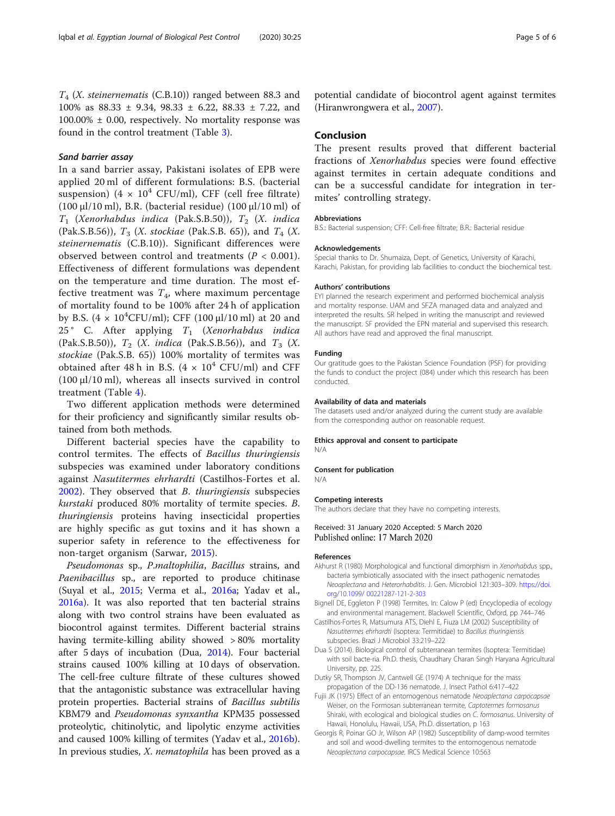<span id="page-4-0"></span> $T<sub>4</sub>$  (X. steinernematis (C.B.10)) ranged between 88.3 and 100% as 88.33 ± 9.34, 98.33 ± 6.22, 88.33 ± 7.22, and  $100.00\% \pm 0.00$ , respectively. No mortality response was found in the control treatment (Table [3\)](#page-2-0).

#### Sand barrier assay

In a sand barrier assay, Pakistani isolates of EPB were applied 20 ml of different formulations: B.S. (bacterial suspension) (4  $\times$  10<sup>4</sup> CFU/ml), CFF (cell free filtrate) (100 μl/10 ml), B.R. (bacterial residue) (100 μl/10 ml) of  $T_1$  (Xenorhabdus indica (Pak.S.B.50)),  $T_2$  (X. indica (Pak.S.B.56)),  $T_3$  (*X. stockiae* (Pak.S.B. 65)), and  $T_4$  (*X.* steinernematis (C.B.10)). Significant differences were observed between control and treatments ( $P < 0.001$ ). Effectiveness of different formulations was dependent on the temperature and time duration. The most effective treatment was  $T<sub>4</sub>$ , where maximum percentage of mortality found to be 100% after 24 h of application by B.S.  $(4 \times 10^4$ CFU/ml); CFF  $(100 \mu l/10 \text{ ml})$  at 20 and 25 $\degree$  C. After applying  $T_1$  (Xenorhabdus indica (Pak.S.B.50)),  $T_2$  (*X. indica* (Pak.S.B.56)), and  $T_3$  (*X.* stockiae (Pak.S.B. 65)) 100% mortality of termites was obtained after 48 h in B.S.  $(4 \times 10^4 \text{ CFU/ml})$  and CFF (100 μl/10 ml), whereas all insects survived in control treatment (Table [4](#page-3-0)).

Two different application methods were determined for their proficiency and significantly similar results obtained from both methods.

Different bacterial species have the capability to control termites. The effects of Bacillus thuringiensis subspecies was examined under laboratory conditions against Nasutitermes ehrhardti (Castilhos-Fortes et al. 2002). They observed that B. thuringiensis subspecies kurstaki produced 80% mortality of termite species. B. thuringiensis proteins having insecticidal properties are highly specific as gut toxins and it has shown a superior safety in reference to the effectiveness for non-target organism (Sarwar, [2015](#page-5-0)).

Pseudomonas sp., P.maltophilia, Bacillus strains, and Paenibacillus sp., are reported to produce chitinase (Suyal et al., [2015;](#page-5-0) Verma et al., [2016a](#page-5-0); Yadav et al., [2016a\)](#page-5-0). It was also reported that ten bacterial strains along with two control strains have been evaluated as biocontrol against termites. Different bacterial strains having termite-killing ability showed > 80% mortality after 5 days of incubation (Dua, 2014). Four bacterial strains caused 100% killing at 10 days of observation. The cell-free culture filtrate of these cultures showed that the antagonistic substance was extracellular having protein properties. Bacterial strains of Bacillus subtilis KBM79 and Pseudomonas synxantha KPM35 possessed proteolytic, chitinolytic, and lipolytic enzyme activities and caused 100% killing of termites (Yadav et al., [2016b](#page-5-0)). In previous studies, X. nematophila has been proved as a potential candidate of biocontrol agent against termites (Hiranwrongwera et al., [2007\)](#page-5-0).

# Conclusion

The present results proved that different bacterial fractions of Xenorhabdus species were found effective against termites in certain adequate conditions and can be a successful candidate for integration in termites' controlling strategy.

#### Abbreviations

B.S.: Bacterial suspension; CFF: Cell-free filtrate; B.R.: Bacterial residue

#### Acknowledgements

Special thanks to Dr. Shumaiza, Dept. of Genetics, University of Karachi, Karachi, Pakistan, for providing lab facilities to conduct the biochemical test.

#### Authors' contributions

EYI planned the research experiment and performed biochemical analysis and mortality response. UAM and SFZA managed data and analyzed and interpreted the results. SR helped in writing the manuscript and reviewed the manuscript. SF provided the EPN material and supervised this research. All authors have read and approved the final manuscript.

#### Funding

Our gratitude goes to the Pakistan Science Foundation (PSF) for providing the funds to conduct the project (084) under which this research has been conducted.

#### Availability of data and materials

The datasets used and/or analyzed during the current study are available from the corresponding author on reasonable request.

#### Ethics approval and consent to participate

N/A

#### Consent for publication

N/A

#### Competing interests

The authors declare that they have no competing interests.

#### Received: 31 January 2020 Accepted: 5 March 2020 Published online: 17 March 2020

#### References

- Akhurst R (1980) Morphological and functional dimorphism in Xenorhabdus spp., bacteria symbiotically associated with the insect pathogenic nematodes Neoaplectana and Heterorhabditis. J. Gen. Microbiol 121:303–309. [https://doi.](https://doi.org/10.1099/ 00221287-121-2-303) [org/10.1099/ 00221287-121-2-303](https://doi.org/10.1099/ 00221287-121-2-303)
- Bignell DE, Eggleton P (1998) Termites. In: Calow P (ed) Encyclopedia of ecology and environmental management. Blackwell Scientific, Oxford, pp 744–746
- Castilhos-Fortes R, Matsumura ATS, Diehl E, Fiuza LM (2002) Susceptibility of Nasutitermes ehrhardti (Isoptera: Termitidae) to Bacillus thuringiensis subspecies. Brazi J Microbiol 33:219–222
- Dua S (2014). Biological control of subterranean termites (Isoptera: Termitidae) with soil bacte-ria. Ph.D. thesis, Chaudhary Charan Singh Haryana Agricultural University, pp. 225.
- Dutky SR, Thompson JV, Cantwell GE (1974) A technique for the mass propagation of the DD-136 nematode. J. Insect Pathol 6:417–422
- Fujii JK (1975) Effect of an entomogenous nematode Neoaplectana carpocapsae Weiser, on the Formosan subterranean termite, Captotermes formosanus Shiraki, with ecological and biological studies on C. formosanus. University of Hawaii, Honolulu, Hawaii, USA, Ph.D. dissertation, p 163
- Georgis R, Poinar GO Jr, Wilson AP (1982) Susceptibility of damp-wood termites and soil and wood-dwelling termites to the entomogenous nematode Neoaplectana carpocapsae. IRCS Medical Science 10:563